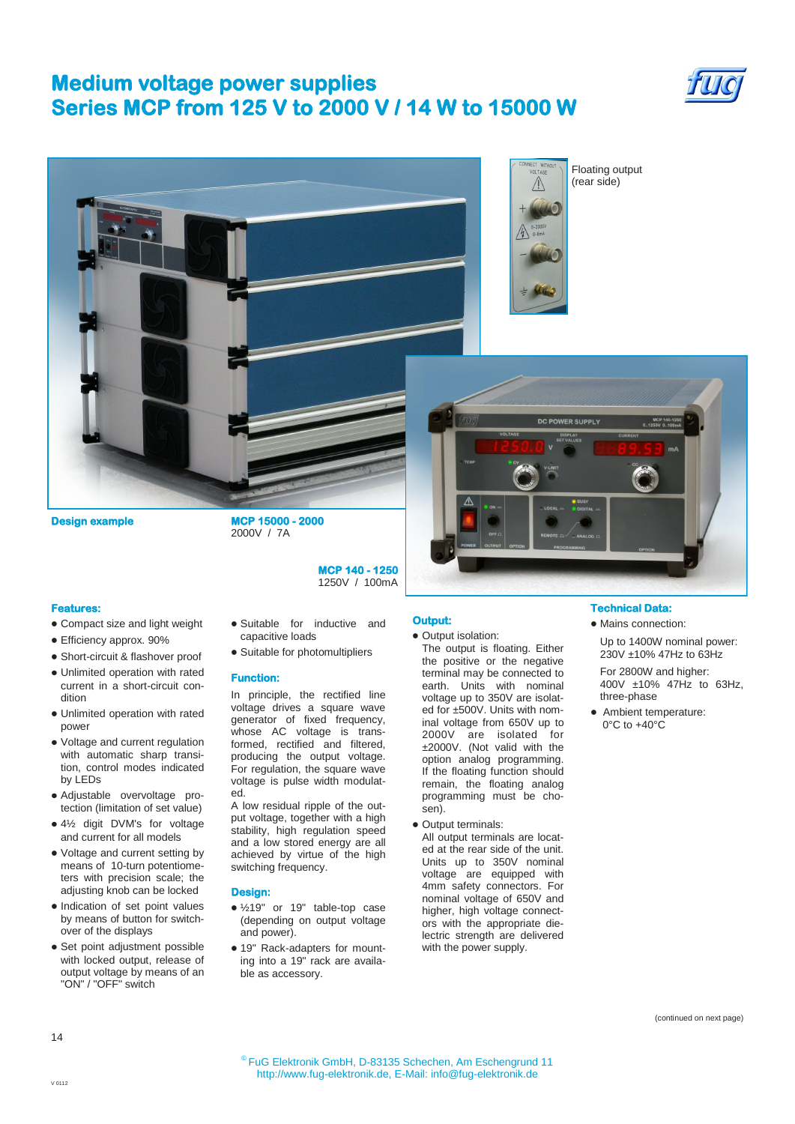# **Medium voltage power supplies Series MCP from 125 V to 2000 V / 14 W to 15000 W**





Floating output (rear side)

 $\wedge$ 



**Design example MCP 15000 - 2000** 

2000V / 7A

**MCP 140 - 1250**  1250V / 100mA

### **Features:**

- Compact size and light weight
- Efficiency approx. 90%
- Short-circuit & flashover proof
- Unlimited operation with rated current in a short-circuit condition
- Unlimited operation with rated power
- Voltage and current regulation with automatic sharp transition, control modes indicated by LEDs
- Adjustable overvoltage protection (limitation of set value)
- 4½ digit DVM's for voltage and current for all models
- Voltage and current setting by means of 10-turn potentiometers with precision scale; the adjusting knob can be locked
- Indication of set point values by means of button for switchover of the displays
- Set point adjustment possible with locked output, release of output voltage by means of an "ON" / "OFF" switch
- Suitable for inductive and capacitive loads
- Suitable for photomultipliers

## **Function:**

In principle, the rectified line voltage drives a square wave generator of fixed frequency, whose AC voltage is transformed, rectified and filtered, producing the output voltage. For regulation, the square wave voltage is pulse width modulated.

A low residual ripple of the output voltage, together with a high stability, high regulation speed and a low stored energy are all achieved by virtue of the high switching frequency.

#### **Design:**

- ½19" or 19" table-top case (depending on output voltage and power).
- 19" Rack-adapters for mounting into a 19" rack are available as accessory.

# **Output:**

- Output isolation:
	- The output is floating. Either the positive or the negative terminal may be connected to earth. Units with nominal voltage up to 350V are isolated for ±500V. Units with nominal voltage from 650V up to 2000V are isolated for ±2000V. (Not valid with the option analog programming. If the floating function should remain, the floating analog programming must be chosen).
- Output terminals: All output terminals are located at the rear side of the unit. Units up to 350V nominal voltage are equipped with 4mm safety connectors. For nominal voltage of 650V and higher, high voltage connectors with the appropriate dielectric strength are delivered with the power supply.

### **Technical Data:**

- Mains connection:
- Up to 1400W nominal power: 230V ±10% 47Hz to 63Hz

For 2800W and higher: 400V ±10% 47Hz to 63Hz, three-phase

Ambient temperature:  $0^{\circ}$ C to  $+40^{\circ}$ C

(continued on next page)

14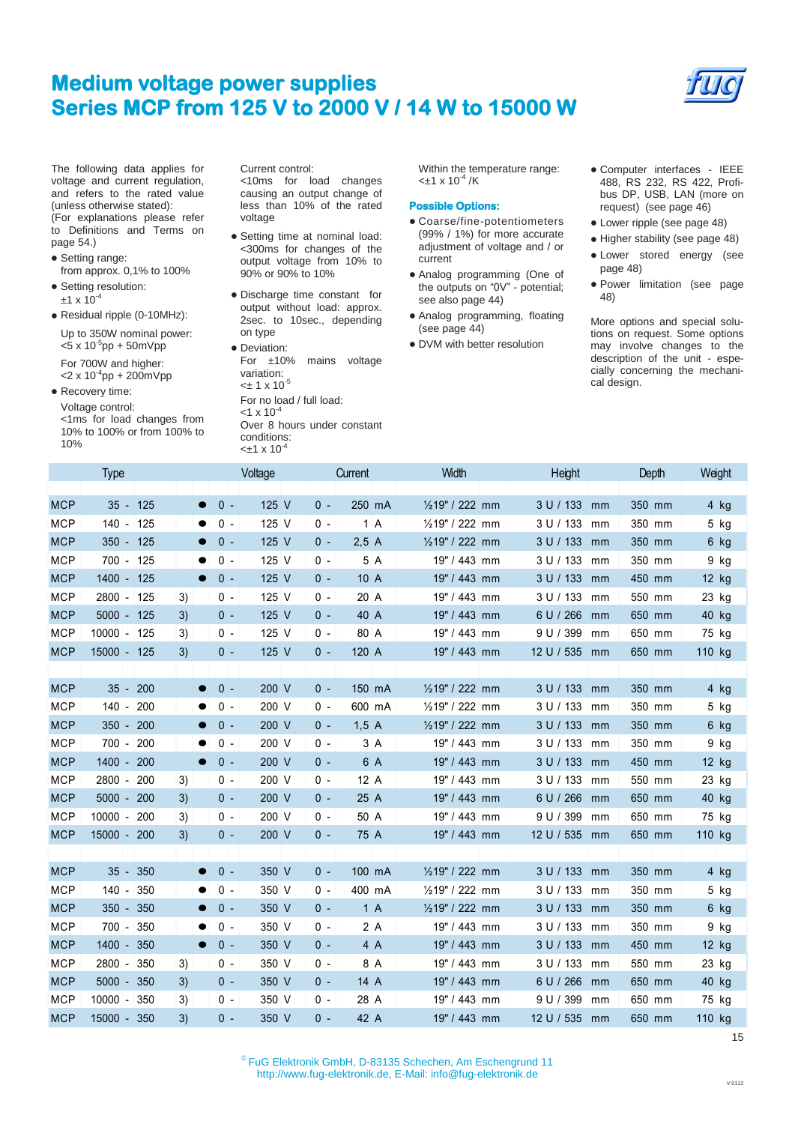# **Medium voltage power supplies Series MCP from 125 V to 2000 V / 14 W to 15000 W**



The following data applies for voltage and current regulation, and refers to the rated value (unless otherwise stated): (For explanations please refer to Definitions and Terms on page 54.)

- Setting range: from approx. 0,1% to 100%
- Setting resolution:  $±1 \times 10^{-4}$
- Residual ripple (0-10MHz): Up to 350W nominal power:

 $<$ 5 x 10<sup>-5</sup>pp + 50mVpp For 700W and higher:

 $<$ 2 x 10<sup>-4</sup>pp + 200mVpp

• Recovery time: Voltage control: <1ms for load changes from 10% to 100% or from 100% to 10%

Current control: <10ms for load changes causing an output change of less than 10% of the rated voltage

- Setting time at nominal load: <300ms for changes of the output voltage from 10% to 90% or 90% to 10%
- Discharge time constant for output without load: approx. 2sec. to 10sec., depending on type
- Deviation: For ±10% mains voltage variation:  $<$ ± 1 x 10<sup>-5</sup> For no load / full load:  $<$ 1 x 10<sup>-4</sup> Over 8 hours under constant conditions:  $<sub>±1</sub>$  x 10<sup>-4</sup></sub>

Within the temperature range:  $<$ ±1 x 10<sup>-4</sup> /K

## **Possible Options:**

- Coarse/fine-potentiometers (99% / 1%) for more accurate adjustment of voltage and / or current
- Analog programming (One of the outputs on "0V" - potential; see also page 44)
- Analog programming, floating (see page 44)
- DVM with better resolution
- Computer interfaces IEEE 488, RS 232, RS 422, Profibus DP, USB, LAN (more on request) (see page 46)
- Lower ripple (see page 48)
- Higher stability (see page 48)
- Lower stored energy (see page 48)
- Power limitation (see page 48)

More options and special solutions on request. Some options may involve changes to the description of the unit - especially concerning the mechanical design.

| 1070       |                  |    |                    | $<\pm 1 \times 10^{-4}$ |       |         |                 |                 |        |         |
|------------|------------------|----|--------------------|-------------------------|-------|---------|-----------------|-----------------|--------|---------|
|            | <b>Type</b>      |    |                    | Voltage                 |       | Current | Width           | Height          | Depth  | Waght   |
| <b>MCP</b> | $35 - 125$       |    | $0 -$              | 125 V                   | $0 -$ | 250 mA  | 1/219" / 222 mm | 3 U / 133<br>mm | 350 mm | $4$ kg  |
| <b>MCP</b> | 140 - 125        |    | $0 -$              | 125 V                   | $0 -$ | 1A      | 1/219" / 222 mm | 3 U / 133<br>mm | 350 mm | $5$ kg  |
| <b>MCP</b> | $350 - 125$      |    | $0 -$              | 125 V                   | 0 -   | 2,5A    | 1/219" / 222 mm | 3 U / 133<br>mm | 350 mm | 6 kg    |
| <b>MCP</b> | $700 - 125$      |    | $0 -$              | 125 V                   | $0 -$ | 5 A     | 19" / 443 mm    | 3 U / 133<br>mm | 350 mm | $9$ kg  |
| <b>MCP</b> | 1400 - 125       |    | $0 -$              | 125 V                   | $0 -$ | 10 A    | 19" / 443 mm    | 3 U / 133 mm    | 450 mm | 12 kg   |
| <b>MCP</b> | 2800 - 125       | 3) | 0 -                | 125 V                   | 0 -   | 20 A    | 19" / 443 mm    | 3 U / 133<br>mm | 550 mm | 23 kg   |
| <b>MCP</b> | $5000 - 125$     | 3) | $0 -$              | 125 V                   | $0 -$ | 40 A    | 19" / 443 mm    | 6 U / 266<br>mm | 650 mm | 40 kg   |
| <b>MCP</b> | 10000 - 125      | 3) | $0 -$              | 125 V                   | $0 -$ | 80 A    | 19" / 443 mm    | 9 U / 399<br>mm | 650 mm | 75 kg   |
| <b>MCP</b> | 15000 - 125      | 3) | $0 -$              | 125 V                   | 0 -   | 120 A   | 19" / 443 mm    | 12 U / 535 mm   | 650 mm | 110 kg  |
|            |                  |    |                    |                         |       |         |                 |                 |        |         |
| <b>MCP</b> | $35 -$<br>200    |    | $0 -$              | 200 V                   | $0 -$ | 150 mA  | 1/219" / 222 mm | 3 U / 133<br>mm | 350 mm | $4$ kg  |
| <b>MCP</b> | $140 -$<br>200   |    | $0 -$              | 200 V                   | $0 -$ | 600 mA  | 1/219" / 222 mm | 3 U / 133<br>mm | 350 mm | 5 kg    |
| <b>MCP</b> | $350 -$<br>200   |    | $0 -$              | 200 V                   | $0 -$ | 1,5A    | 1/219" / 222 mm | 3 U / 133 mm    | 350 mm | 6 kg    |
| <b>MCP</b> | $700 -$<br>200   |    | $0 -$              | 200 V                   | $0 -$ | 3 A     | 19" / 443 mm    | 3 U / 133 mm    | 350 mm | 9 kg    |
| <b>MCP</b> | $1400 -$<br>200  |    | $0 -$<br>$\bullet$ | 200 V                   | $0 -$ | 6 A     | 19" / 443 mm    | 3 U / 133<br>mm | 450 mm | $12$ kg |
| <b>MCP</b> | $2800 -$<br>200  | 3) | $0 -$              | 200 V                   | $0 -$ | 12A     | 19" / 443 mm    | 3 U / 133 mm    | 550 mm | 23 kg   |
| <b>MCP</b> | $5000 -$<br>200  | 3) | $0 -$              | 200 V                   | $0 -$ | 25 A    | 19" / 443 mm    | 6 U / 266<br>mm | 650 mm | 40 kg   |
| <b>MCP</b> | $10000 -$<br>200 | 3) | $0 -$              | 200 V                   | $0 -$ | 50 A    | 19" / 443 mm    | 9 U / 399<br>mm | 650 mm | 75 kg   |
| <b>MCP</b> | 15000 - 200      | 3) | $0 -$              | 200 V                   | 0 -   | 75 A    | 19" / 443 mm    | 12 U / 535 mm   | 650 mm | 110 kg  |
|            |                  |    |                    |                         |       |         |                 |                 |        |         |
| <b>MCP</b> | $35 -$<br>350    |    | $0 -$              | 350 V                   | $0 -$ | 100 mA  | 1/219" / 222 mm | 3 U / 133 mm    | 350 mm | 4 kg    |
| <b>MCP</b> | $140 -$<br>350   |    | $0 -$              | 350 V                   | $0 -$ | 400 mA  | 1/219" / 222 mm | 3 U / 133 mm    | 350 mm | 5 kg    |
| <b>MCP</b> | $350 -$<br>350   |    | $0 -$              | 350 V                   | $0 -$ | 1A      | 1/219" / 222 mm | 3 U / 133<br>mm | 350 mm | 6 kg    |
| <b>MCP</b> | $700 - 350$      |    | $0 -$              | 350 V                   | $0 -$ | 2A      | 19" / 443 mm    | 3 U / 133<br>mm | 350 mm | $9$ kg  |
| <b>MCP</b> | $1400 -$<br>350  |    | $0 -$<br>$\bullet$ | 350 V                   | 0 -   | 4 A     | 19" / 443 mm    | 3 U / 133<br>mm | 450 mm | 12 kg   |
| <b>MCP</b> | $2800 -$<br>350  | 3) | $0 -$              | 350 V                   | $0 -$ | 8 A     | 19" / 443 mm    | 3 U / 133<br>mm | 550 mm | 23 kg   |
| <b>MCP</b> | 5000 - 350       | 3) | $0 -$              | 350 V                   | $0 -$ | 14 A    | 19" / 443 mm    | 6 U / 266 mm    | 650 mm | 40 kg   |
| <b>MCP</b> | $10000 -$<br>350 | 3) | $0 -$              | 350 V                   | 0 -   | 28 A    | 19" / 443 mm    | 9 U / 399<br>mm | 650 mm | 75 kg   |
| <b>MCP</b> | $15000 -$<br>350 | 3) | $0 -$              | 350 V                   | 0 -   | 42 A    | 19" / 443 mm    | 12 U / 535 mm   | 650 mm | 110 kg  |

15